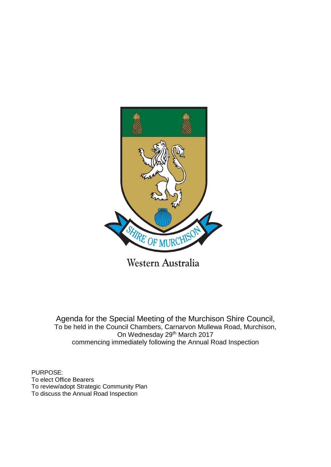

Western Australia

Agenda for the Special Meeting of the Murchison Shire Council, To be held in the Council Chambers, Carnarvon Mullewa Road, Murchison, On Wednesday 29th March 2017 commencing immediately following the Annual Road Inspection

PURPOSE: To elect Office Bearers To review/adopt Strategic Community Plan To discuss the Annual Road Inspection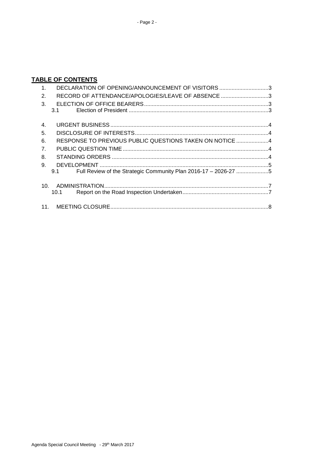# **TABLE OF CONTENTS**

| 1 <sub>1</sub>  | DECLARATION OF OPENING/ANNOUNCEMENT OF VISITORS 3                      |  |
|-----------------|------------------------------------------------------------------------|--|
| 2.              | RECORD OF ATTENDANCE/APOLOGIES/LEAVE OF ABSENCE 3                      |  |
| $\mathcal{R}$   |                                                                        |  |
|                 | 3.1                                                                    |  |
|                 |                                                                        |  |
| 4.              |                                                                        |  |
| 5.              |                                                                        |  |
| 6.              | RESPONSE TO PREVIOUS PUBLIC QUESTIONS TAKEN ON NOTICE 4                |  |
| 7 <sub>1</sub>  |                                                                        |  |
| 8.              |                                                                        |  |
| 9.              |                                                                        |  |
|                 | Full Review of the Strategic Community Plan 2016-17 - 2026-27 5<br>9.1 |  |
|                 |                                                                        |  |
| 10 <sub>1</sub> |                                                                        |  |
|                 | 10.1                                                                   |  |
|                 |                                                                        |  |
|                 |                                                                        |  |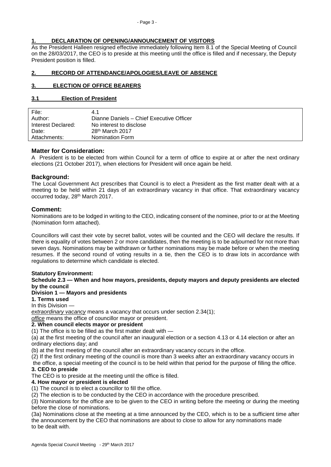## <span id="page-2-0"></span>**1. DECLARATION OF OPENING/ANNOUNCEMENT OF VISITORS**

As the President Halleen resigned effective immediately following Item 8.1 of the Special Meeting of Council on the 28/03/2017, the CEO is to preside at this meeting until the office is filled and if necessary, the Deputy President position is filled.

## <span id="page-2-1"></span>**2. RECORD OF ATTENDANCE/APOLOGIES/LEAVE OF ABSENCE**

## <span id="page-2-2"></span>**3. ELECTION OF OFFICE BEARERS**

### <span id="page-2-3"></span>**3.1 Election of President**

| File:              | 4.1                                      |
|--------------------|------------------------------------------|
| Author:            | Dianne Daniels - Chief Executive Officer |
| Interest Declared: | No interest to disclose                  |
| Date:              | $28th$ March 2017                        |
| Attachments:       | Nomination Form                          |

## **Matter for Consideration:**

A President is to be elected from within Council for a term of office to expire at or after the next ordinary elections (21 October 2017), when elections for President will once again be held.

### **Background:**

The Local Government Act prescribes that Council is to elect a President as the first matter dealt with at a meeting to be held within 21 days of an extraordinary vacancy in that office. That extraordinary vacancy occurred today, 28th March 2017.

### **Comment:**

Nominations are to be lodged in writing to the CEO, indicating consent of the nominee, prior to or at the Meeting (Nomination form attached).

Councillors will cast their vote by secret ballot, votes will be counted and the CEO will declare the results. If there is equality of votes between 2 or more candidates, then the meeting is to be adjourned for not more than seven days. Nominations may be withdrawn or further nominations may be made before or when the meeting resumes. If the second round of voting results in a tie, then the CEO is to draw lots in accordance with regulations to determine which candidate is elected.

### **Statutory Environment:**

#### **Schedule 2.3 — When and how mayors, presidents, deputy mayors and deputy presidents are elected by the council**

## **Division 1 — Mayors and presidents**

**1. Terms used**

In this Division —

*extraordinary vacancy* means a vacancy that occurs under section 2.34(1);

*office* means the office of councillor mayor or president.

#### **2. When council elects mayor or president**

(1) The office is to be filled as the first matter dealt with —

(a) at the first meeting of the council after an inaugural election or a section 4.13 or 4.14 election or after an ordinary elections day; and

(b) at the first meeting of the council after an extraordinary vacancy occurs in the office.

(2) If the first ordinary meeting of the council is more than 3 weeks after an extraordinary vacancy occurs in the office, a special meeting of the council is to be held within that period for the purpose of filling the office.

### **3. CEO to preside**

The CEO is to preside at the meeting until the office is filled.

### **4. How mayor or president is elected**

(1) The council is to elect a councillor to fill the office.

(2) The election is to be conducted by the CEO in accordance with the procedure prescribed.

(3) Nominations for the office are to be given to the CEO in writing before the meeting or during the meeting before the close of nominations.

(3a) Nominations close at the meeting at a time announced by the CEO, which is to be a sufficient time after the announcement by the CEO that nominations are about to close to allow for any nominations made to be dealt with.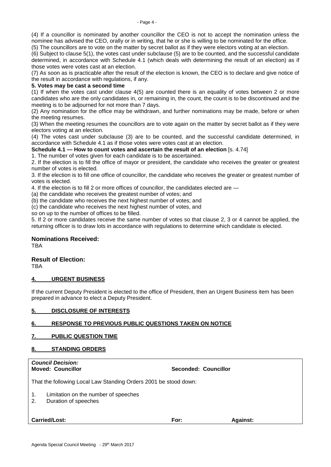(4) If a councillor is nominated by another councillor the CEO is not to accept the nomination unless the nominee has advised the CEO, orally or in writing, that he or she is willing to be nominated for the office.

(5) The councillors are to vote on the matter by secret ballot as if they were electors voting at an election.

(6) Subject to clause 5(1), the votes cast under subclause (5) are to be counted, and the successful candidate determined, in accordance with Schedule 4.1 (which deals with determining the result of an election) as if those votes were votes cast at an election.

(7) As soon as is practicable after the result of the election is known, the CEO is to declare and give notice of the result in accordance with regulations, if any.

#### **5. Votes may be cast a second time**

(1) If when the votes cast under clause 4(5) are counted there is an equality of votes between 2 or more candidates who are the only candidates in, or remaining in, the count, the count is to be discontinued and the meeting is to be adjourned for not more than 7 days.

(2) Any nomination for the office may be withdrawn, and further nominations may be made, before or when the meeting resumes.

(3) When the meeting resumes the councillors are to vote again on the matter by secret ballot as if they were electors voting at an election.

(4) The votes cast under subclause (3) are to be counted, and the successful candidate determined, in accordance with Schedule 4.1 as if those votes were votes cast at an election.

**Schedule 4.1 — How to count votes and ascertain the result of an election** [s. 4.74]

1. The number of votes given for each candidate is to be ascertained.

2. If the election is to fill the office of mayor or president, the candidate who receives the greater or greatest number of votes is elected.

3. If the election is to fill one office of councillor, the candidate who receives the greater or greatest number of votes is elected.

4. If the election is to fill 2 or more offices of councillor, the candidates elected are —

(a) the candidate who receives the greatest number of votes; and

(b) the candidate who receives the next highest number of votes; and

(c) the candidate who receives the next highest number of votes, and

so on up to the number of offices to be filled.

5. If 2 or more candidates receive the same number of votes so that clause 2, 3 or 4 cannot be applied, the returning officer is to draw lots in accordance with regulations to determine which candidate is elected.

#### **Nominations Received:**

**TBA** 

### **Result of Election:**

TBA

#### <span id="page-3-0"></span>**4. URGENT BUSINESS**

If the current Deputy President is elected to the office of President, then an Urgent Business item has been prepared in advance to elect a Deputy President.

#### <span id="page-3-1"></span>**5. DISCLOSURE OF INTERESTS**

### <span id="page-3-2"></span>**6. RESPONSE TO PREVIOUS PUBLIC QUESTIONS TAKEN ON NOTICE**

### <span id="page-3-3"></span>**7. PUBLIC QUESTION TIME**

### <span id="page-3-4"></span>**8. STANDING ORDERS**

*Council Decision:* **Moved: Councillor Seconded: Councillor** That the following Local Law Standing Orders 2001 be stood down: 1. Limitation on the number of speeches 2. Duration of speeches **Carried/Lost: For: Against:**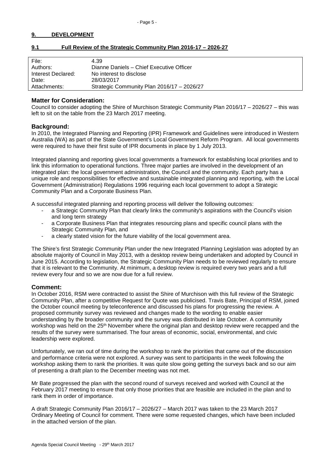### <span id="page-4-0"></span>**9. DEVELOPMENT**

| File:              | 4.39                                       |
|--------------------|--------------------------------------------|
| Authors:           | Dianne Daniels - Chief Executive Officer   |
| Interest Declared: | No interest to disclose                    |
| Date:              | 28/03/2017                                 |
| Attachments:       | Strategic Community Plan 2016/17 - 2026/27 |
|                    |                                            |

## <span id="page-4-1"></span>**9.1 Full Review of the Strategic Community Plan 2016-17 – 2026-27**

### **Matter for Consideration:**

Council to consider adopting the Shire of Murchison Strategic Community Plan 2016/17 – 2026/27 – this was left to sit on the table from the 23 March 2017 meeting.

### **Background:**

In 2010, the Integrated Planning and Reporting (IPR) Framework and Guidelines were introduced in Western Australia (WA) as part of the State Government's Local Government Reform Program. All local governments were required to have their first suite of IPR documents in place by 1 July 2013.

Integrated planning and reporting gives local governments a framework for establishing local priorities and to link this information to operational functions. Three major parties are involved in the development of an integrated plan: the local government administration, the Council and the community. Each party has a unique role and responsibilities for effective and sustainable integrated planning and reporting, with the Local Government (Administration) Regulations 1996 requiring each local government to adopt a Strategic Community Plan and a Corporate Business Plan.

A successful integrated planning and reporting process will deliver the following outcomes:

- a Strategic Community Plan that clearly links the community's aspirations with the Council's vision and long term strategy
- a Corporate Business Plan that integrates resourcing plans and specific council plans with the Strategic Community Plan, and
- a clearly stated vision for the future viability of the local government area.

The Shire's first Strategic Community Plan under the new Integrated Planning Legislation was adopted by an absolute majority of Council in May 2013, with a desktop review being undertaken and adopted by Council in June 2015. According to legislation, the Strategic Community Plan needs to be reviewed regularly to ensure that it is relevant to the Community. At minimum, a desktop review is required every two years and a full review every four and so we are now due for a full review.

### **Comment:**

In October 2016, RSM were contracted to assist the Shire of Murchison with this full review of the Strategic Community Plan, after a competitive Request for Quote was publicised. Travis Bate, Principal of RSM, joined the October council meeting by teleconference and discussed his plans for progressing the review. A proposed community survey was reviewed and changes made to the wording to enable easier understanding by the broader community and the survey was distributed in late October. A community workshop was held on the 25<sup>th</sup> November where the original plan and desktop review were recapped and the results of the survey were summarised. The four areas of economic, social, environmental, and civic leadership were explored.

Unfortunately, we ran out of time during the workshop to rank the priorities that came out of the discussion and performance criteria were not explored. A survey was sent to participants in the week following the workshop asking them to rank the priorities. It was quite slow going getting the surveys back and so our aim of presenting a draft plan to the December meeting was not met.

Mr Bate progressed the plan with the second round of surveys received and worked with Council at the February 2017 meeting to ensure that only those priorities that are feasible are included in the plan and to rank them in order of importance.

A draft Strategic Community Plan 2016/17 – 2026/27 – March 2017 was taken to the 23 March 2017 Ordinary Meeting of Council for comment. There were some requested changes, which have been included in the attached version of the plan.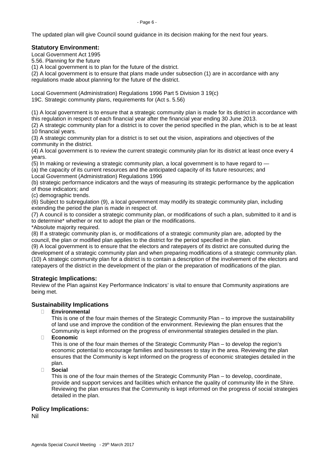The updated plan will give Council sound guidance in its decision making for the next four years.

## **Statutory Environment:**

Local Government Act 1995

5.56. Planning for the future

(1) A local government is to plan for the future of the district.

(2) A local government is to ensure that plans made under subsection (1) are in accordance with any regulations made about planning for the future of the district.

Local Government (Administration) Regulations 1996 Part 5 Division 3 19(c) 19C. Strategic community plans, requirements for (Act s. 5.56)

(1) A local government is to ensure that a strategic community plan is made for its district in accordance with this regulation in respect of each financial year after the financial year ending 30 June 2013.

(2) A strategic community plan for a district is to cover the period specified in the plan, which is to be at least 10 financial years.

(3) A strategic community plan for a district is to set out the vision, aspirations and objectives of the community in the district.

(4) A local government is to review the current strategic community plan for its district at least once every 4 years.

(5) In making or reviewing a strategic community plan, a local government is to have regard to —

(a) the capacity of its current resources and the anticipated capacity of its future resources; and Local Government (Administration) Regulations 1996

(b) strategic performance indicators and the ways of measuring its strategic performance by the application of those indicators; and

(c) demographic trends.

(6) Subject to subregulation (9), a local government may modify its strategic community plan, including extending the period the plan is made in respect of.

(7) A council is to consider a strategic community plan, or modifications of such a plan, submitted to it and is to determine\* whether or not to adopt the plan or the modifications.

\*Absolute majority required.

(8) If a strategic community plan is, or modifications of a strategic community plan are, adopted by the council, the plan or modified plan applies to the district for the period specified in the plan.

(9) A local government is to ensure that the electors and ratepayers of its district are consulted during the development of a strategic community plan and when preparing modifications of a strategic community plan. (10) A strategic community plan for a district is to contain a description of the involvement of the electors and ratepayers of the district in the development of the plan or the preparation of modifications of the plan.

## **Strategic Implications:**

Review of the Plan against Key Performance Indicators' is vital to ensure that Community aspirations are being met.

## **Sustainability Implications**

### � **Environmental**

This is one of the four main themes of the Strategic Community Plan – to improve the sustainability of land use and improve the condition of the environment. Reviewing the plan ensures that the Community is kept informed on the progress of environmental strategies detailed in the plan.

� **Economic**

This is one of the four main themes of the Strategic Community Plan – to develop the region's economic potential to encourage families and businesses to stay in the area. Reviewing the plan ensures that the Community is kept informed on the progress of economic strategies detailed in the plan.

### � **Social**

This is one of the four main themes of the Strategic Community Plan – to develop, coordinate, provide and support services and facilities which enhance the quality of community life in the Shire. Reviewing the plan ensures that the Community is kept informed on the progress of social strategies detailed in the plan.

### **Policy Implications:**

Nil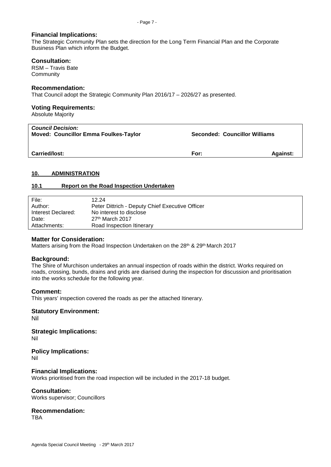#### **Financial Implications:**

The Strategic Community Plan sets the direction for the Long Term Financial Plan and the Corporate Business Plan which inform the Budget.

#### **Consultation:**

RSM – Travis Bate **Community** 

### **Recommendation:**

That Council adopt the Strategic Community Plan 2016/17 – 2026/27 as presented.

## **Voting Requirements:**

Absolute Majority

| <b>Council Decision:</b><br><b>Moved: Councillor Emma Foulkes-Taylor</b> | <b>Seconded: Councillor Williams</b> |                 |
|--------------------------------------------------------------------------|--------------------------------------|-----------------|
| <b>Carried/lost:</b>                                                     | For:                                 | <b>Against:</b> |

### <span id="page-6-0"></span>**10. ADMINISTRATION**

#### <span id="page-6-1"></span>**10.1 Report on the Road Inspection Undertaken**

| File:              | 12.24                                           |
|--------------------|-------------------------------------------------|
| Author:            | Peter Dittrich - Deputy Chief Executive Officer |
| Interest Declared: | No interest to disclose                         |
| Date:              | $27th$ March 2017                               |
| Attachments:       | Road Inspection Itinerary                       |

### **Matter for Consideration:**

Matters arising from the Road Inspection Undertaken on the 28<sup>th</sup> & 29<sup>th</sup> March 2017

### **Background:**

The Shire of Murchison undertakes an annual inspection of roads within the district. Works required on roads, crossing, bunds, drains and grids are diarised during the inspection for discussion and prioritisation into the works schedule for the following year.

#### **Comment:**

This years' inspection covered the roads as per the attached Itinerary.

### **Statutory Environment:**

Nil

**Strategic Implications:** Nil

**Policy Implications:**

Nil

### **Financial Implications:**

Works prioritised from the road inspection will be included in the 2017-18 budget.

#### **Consultation:**

Works supervisor; Councillors

## **Recommendation:**

TBA